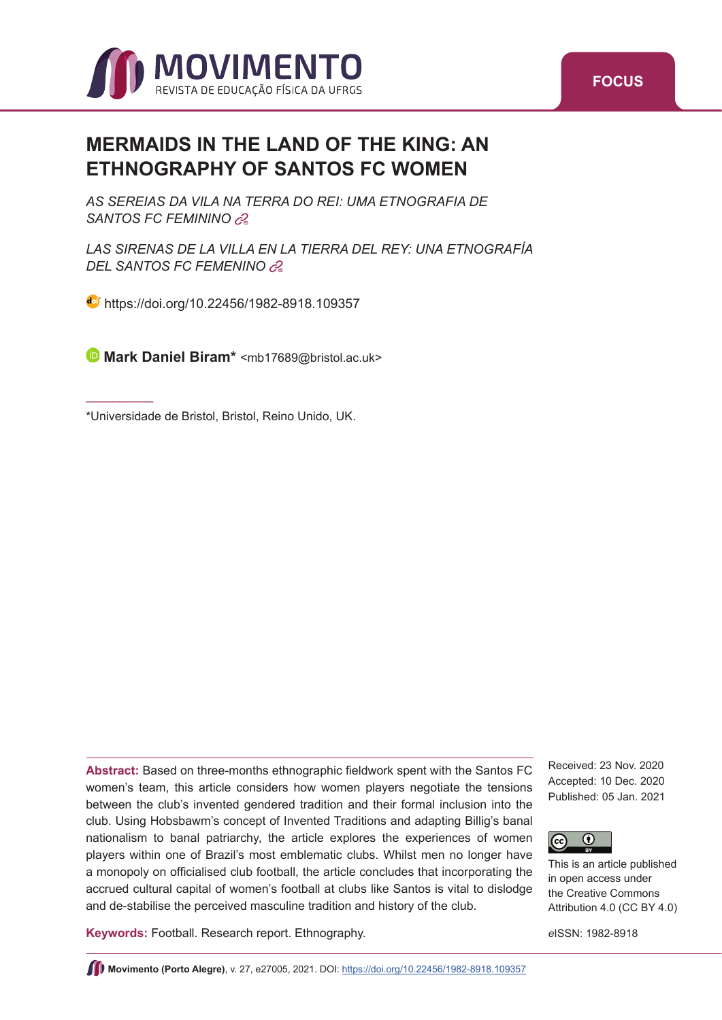

# **MERMAIDS IN THE LAND OF THE KING: AN ETHNOGRAPHY OF SANTOS FC WOMEN**

*AS SEREIAS DA VILA NA TERRA DO REI: UMA ETNOGRAFIA DE*  SANTOS FC FEMININO  $\partial_{\theta}^{2}$ 

*LAS SIRENAS DE LA VILLA EN LA TIERRA DEL REY: UNA ETNOGRAFÍA DELSANTOS FC FEMENINO* 

**b**<https://doi.org/10.22456/1982-8918.109357>

**Mark Daniel Biram\*** [<mb17689@bristol.ac.uk](mailto:mb17689@bristol.ac.uk)>

\*Universidade de Bristol, Bristol, Reino Unido, UK.

\_\_\_\_\_\_\_\_\_\_

**Abstract:** Based on three-months ethnographic fieldwork spent with the Santos FC women's team, this article considers how women players negotiate the tensions between the club's invented gendered tradition and their formal inclusion into the club. Using Hobsbawm's concept of Invented Traditions and adapting Billig's banal nationalism to banal patriarchy, the article explores the experiences of women players within one of Brazil's most emblematic clubs. Whilst men no longer have a monopoly on officialised club football, the article concludes that incorporating the accrued cultural capital of women's football at clubs like Santos is vital to dislodge and de-stabilise the perceived masculine tradition and history of the club.

**Keywords:** Football. Research report. Ethnography.

Received: 23 Nov. 2020 Accepted: 10 Dec. 2020 Published: 05 Jan. 2021



This is an article published in open access under the Creative Commons Attribution 4.0 (CC BY 4.0)

*e*ISSN: 1982-8918

**Movimento (Porto Alegre)**, v. 27, e27005, 2021. DOI:<https://doi.org/10.22456/1982-8918.109357>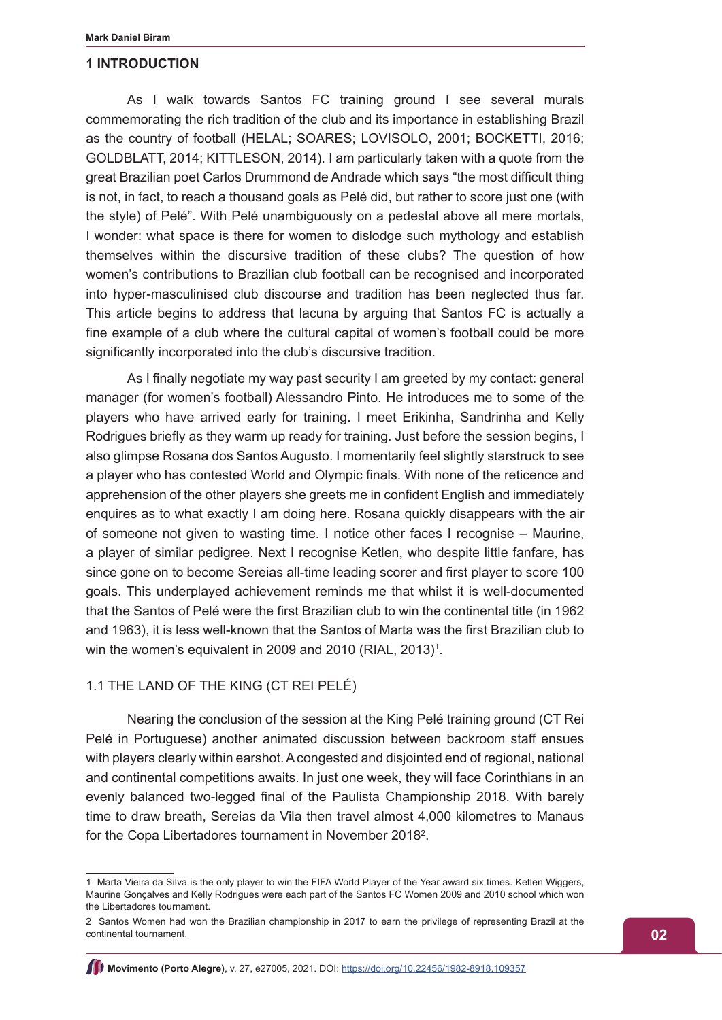#### **1 INTRODUCTION**

As I walk towards Santos FC training ground I see several murals commemorating the rich tradition of the club and its importance in establishing Brazil as the country of football (HELAL; SOARES; LOVISOLO, 2001; BOCKETTI, 2016; GOLDBLATT, 2014; KITTLESON, 2014). I am particularly taken with a quote from the great Brazilian poet Carlos Drummond de Andrade which says "the most difficult thing is not, in fact, to reach a thousand goals as Pelé did, but rather to score just one (with the style) of Pelé". With Pelé unambiguously on a pedestal above all mere mortals, I wonder: what space is there for women to dislodge such mythology and establish themselves within the discursive tradition of these clubs? The question of how women's contributions to Brazilian club football can be recognised and incorporated into hyper-masculinised club discourse and tradition has been neglected thus far. This article begins to address that lacuna by arguing that Santos FC is actually a fine example of a club where the cultural capital of women's football could be more significantly incorporated into the club's discursive tradition.

As I finally negotiate my way past security I am greeted by my contact: general manager (for women's football) Alessandro Pinto. He introduces me to some of the players who have arrived early for training. I meet Erikinha, Sandrinha and Kelly Rodrigues briefly as they warm up ready for training. Just before the session begins, I also glimpse Rosana dos Santos Augusto. I momentarily feel slightly starstruck to see a player who has contested World and Olympic finals. With none of the reticence and apprehension of the other players she greets me in confident English and immediately enquires as to what exactly I am doing here. Rosana quickly disappears with the air of someone not given to wasting time. I notice other faces I recognise – Maurine, a player of similar pedigree. Next I recognise Ketlen, who despite little fanfare, has since gone on to become Sereias all-time leading scorer and first player to score 100 goals. This underplayed achievement reminds me that whilst it is well-documented that the Santos of Pelé were the first Brazilian club to win the continental title (in 1962 and 1963), it is less well-known that the Santos of Marta was the first Brazilian club to win the women's equivalent in 2009 and 2010 (RIAL, 2013) $^{\rm 1}.$ 

# 1.1 THE LAND OF THE KING (CT REI PELÉ)

Nearing the conclusion of the session at the King Pelé training ground (CT Rei Pelé in Portuguese) another animated discussion between backroom staff ensues with players clearly within earshot. A congested and disjointed end of regional, national and continental competitions awaits. In just one week, they will face Corinthians in an evenly balanced two-legged final of the Paulista Championship 2018. With barely time to draw breath, Sereias da Vila then travel almost 4,000 kilometres to Manaus for the Copa Libertadores tournament in November 2018<sup>2</sup>.

<sup>1</sup> Marta Vieira da Silva is the only player to win the FIFA World Player of the Year award six times. Ketlen Wiggers, Maurine Gonçalves and Kelly Rodrigues were each part of the Santos FC Women 2009 and 2010 school which won the Libertadores tournament.

<sup>2</sup> Santos Women had won the Brazilian championship in 2017 to earn the privilege of representing Brazil at the continental tournament.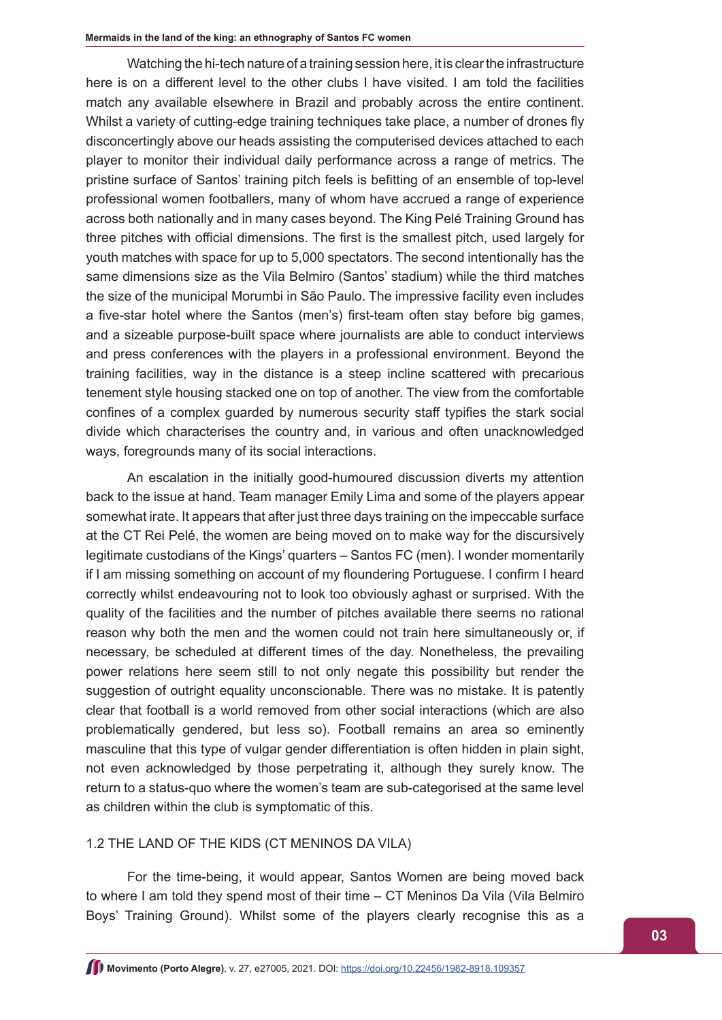Watching the hi-tech nature of a training session here, it is clear the infrastructure here is on a different level to the other clubs I have visited. I am told the facilities match any available elsewhere in Brazil and probably across the entire continent. Whilst a variety of cutting-edge training techniques take place, a number of drones fly disconcertingly above our heads assisting the computerised devices attached to each player to monitor their individual daily performance across a range of metrics. The pristine surface of Santos' training pitch feels is befitting of an ensemble of top-level professional women footballers, many of whom have accrued a range of experience across both nationally and in many cases beyond. The King Pelé Training Ground has three pitches with official dimensions. The first is the smallest pitch, used largely for youth matches with space for up to 5,000 spectators. The second intentionally has the same dimensions size as the Vila Belmiro (Santos' stadium) while the third matches the size of the municipal Morumbi in São Paulo. The impressive facility even includes a five-star hotel where the Santos (men's) first-team often stay before big games, and a sizeable purpose-built space where journalists are able to conduct interviews and press conferences with the players in a professional environment. Beyond the training facilities, way in the distance is a steep incline scattered with precarious tenement style housing stacked one on top of another. The view from the comfortable confines of a complex guarded by numerous security staff typifies the stark social divide which characterises the country and, in various and often unacknowledged ways, foregrounds many of its social interactions.

An escalation in the initially good-humoured discussion diverts my attention back to the issue at hand. Team manager Emily Lima and some of the players appear somewhat irate. It appears that after just three days training on the impeccable surface at the CT Rei Pelé, the women are being moved on to make way for the discursively legitimate custodians of the Kings' quarters – Santos FC (men). I wonder momentarily if I am missing something on account of my floundering Portuguese. I confirm I heard correctly whilst endeavouring not to look too obviously aghast or surprised. With the quality of the facilities and the number of pitches available there seems no rational reason why both the men and the women could not train here simultaneously or, if necessary, be scheduled at different times of the day. Nonetheless, the prevailing power relations here seem still to not only negate this possibility but render the suggestion of outright equality unconscionable. There was no mistake. It is patently clear that football is a world removed from other social interactions (which are also problematically gendered, but less so). Football remains an area so eminently masculine that this type of vulgar gender differentiation is often hidden in plain sight, not even acknowledged by those perpetrating it, although they surely know. The return to a status-quo where the women's team are sub-categorised at the same level as children within the club is symptomatic of this.

# 1.2 THE LAND OF THE KIDS (CT MENINOS DA VILA)

For the time-being, it would appear, Santos Women are being moved back to where I am told they spend most of their time – CT Meninos Da Vila (Vila Belmiro Boys' Training Ground). Whilst some of the players clearly recognise this as a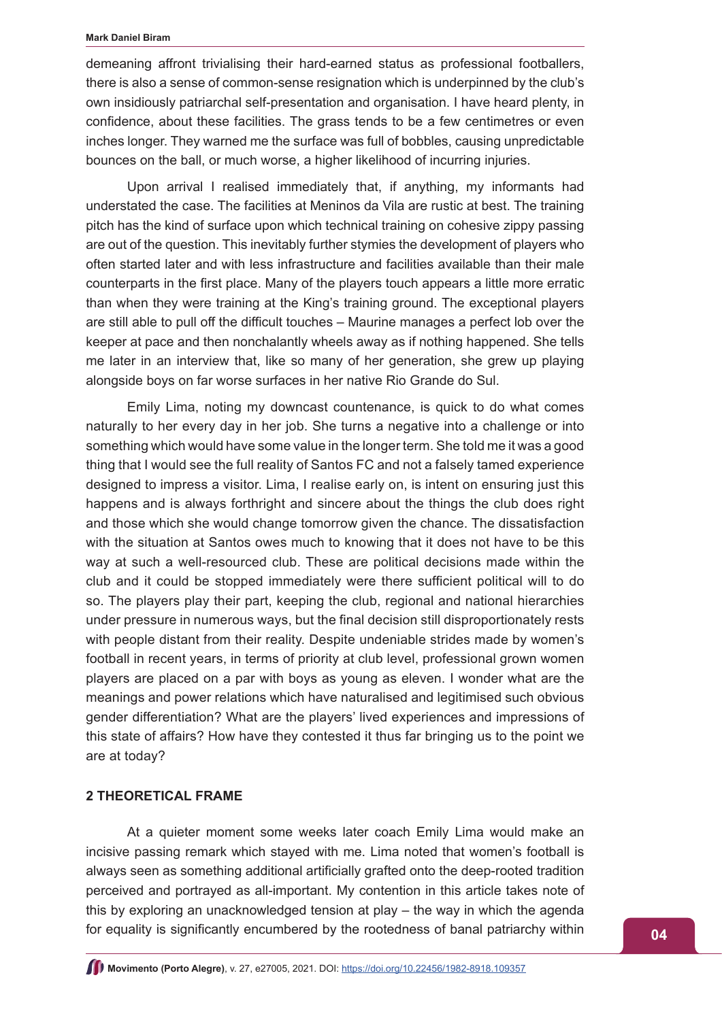#### **Mark Daniel Biram**

demeaning affront trivialising their hard-earned status as professional footballers, there is also a sense of common-sense resignation which is underpinned by the club's own insidiously patriarchal self-presentation and organisation. I have heard plenty, in confidence, about these facilities. The grass tends to be a few centimetres or even inches longer. They warned me the surface was full of bobbles, causing unpredictable bounces on the ball, or much worse, a higher likelihood of incurring injuries.

Upon arrival I realised immediately that, if anything, my informants had understated the case. The facilities at Meninos da Vila are rustic at best. The training pitch has the kind of surface upon which technical training on cohesive zippy passing are out of the question. This inevitably further stymies the development of players who often started later and with less infrastructure and facilities available than their male counterparts in the first place. Many of the players touch appears a little more erratic than when they were training at the King's training ground. The exceptional players are still able to pull off the difficult touches – Maurine manages a perfect lob over the keeper at pace and then nonchalantly wheels away as if nothing happened. She tells me later in an interview that, like so many of her generation, she grew up playing alongside boys on far worse surfaces in her native Rio Grande do Sul.

Emily Lima, noting my downcast countenance, is quick to do what comes naturally to her every day in her job. She turns a negative into a challenge or into something which would have some value in the longer term. She told me it was a good thing that I would see the full reality of Santos FC and not a falsely tamed experience designed to impress a visitor. Lima, I realise early on, is intent on ensuring just this happens and is always forthright and sincere about the things the club does right and those which she would change tomorrow given the chance. The dissatisfaction with the situation at Santos owes much to knowing that it does not have to be this way at such a well-resourced club. These are political decisions made within the club and it could be stopped immediately were there sufficient political will to do so. The players play their part, keeping the club, regional and national hierarchies under pressure in numerous ways, but the final decision still disproportionately rests with people distant from their reality. Despite undeniable strides made by women's football in recent years, in terms of priority at club level, professional grown women players are placed on a par with boys as young as eleven. I wonder what are the meanings and power relations which have naturalised and legitimised such obvious gender differentiation? What are the players' lived experiences and impressions of this state of affairs? How have they contested it thus far bringing us to the point we are at today?

# **2 THEORETICAL FRAME**

At a quieter moment some weeks later coach Emily Lima would make an incisive passing remark which stayed with me. Lima noted that women's football is always seen as something additional artificially grafted onto the deep-rooted tradition perceived and portrayed as all-important. My contention in this article takes note of this by exploring an unacknowledged tension at play – the way in which the agenda for equality is significantly encumbered by the rootedness of banal patriarchy within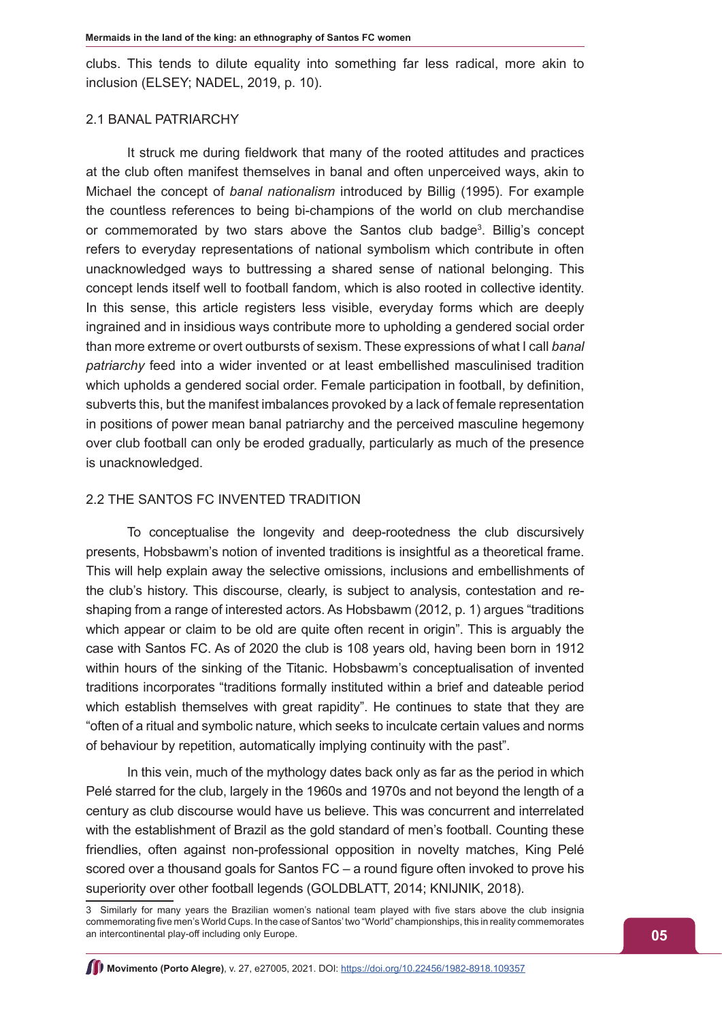clubs. This tends to dilute equality into something far less radical, more akin to inclusion (ELSEY; NADEL, 2019, p. 10).

# 2.1 BANAL PATRIARCHY

It struck me during fieldwork that many of the rooted attitudes and practices at the club often manifest themselves in banal and often unperceived ways, akin to Michael the concept of *banal nationalism* introduced by Billig (1995). For example the countless references to being bi-champions of the world on club merchandise or commemorated by two stars above the Santos club badge<sup>3</sup>. Billig's concept refers to everyday representations of national symbolism which contribute in often unacknowledged ways to buttressing a shared sense of national belonging. This concept lends itself well to football fandom, which is also rooted in collective identity. In this sense, this article registers less visible, everyday forms which are deeply ingrained and in insidious ways contribute more to upholding a gendered social order than more extreme or overt outbursts of sexism. These expressions of what I call *banal patriarchy* feed into a wider invented or at least embellished masculinised tradition which upholds a gendered social order. Female participation in football, by definition, subverts this, but the manifest imbalances provoked by a lack of female representation in positions of power mean banal patriarchy and the perceived masculine hegemony over club football can only be eroded gradually, particularly as much of the presence is unacknowledged.

# 2.2 THE SANTOS FC INVENTED TRADITION

To conceptualise the longevity and deep-rootedness the club discursively presents, Hobsbawm's notion of invented traditions is insightful as a theoretical frame. This will help explain away the selective omissions, inclusions and embellishments of the club's history. This discourse, clearly, is subject to analysis, contestation and reshaping from a range of interested actors. As Hobsbawm (2012, p. 1) argues "traditions which appear or claim to be old are quite often recent in origin". This is arguably the case with Santos FC. As of 2020 the club is 108 years old, having been born in 1912 within hours of the sinking of the Titanic. Hobsbawm's conceptualisation of invented traditions incorporates "traditions formally instituted within a brief and dateable period which establish themselves with great rapidity". He continues to state that they are "often of a ritual and symbolic nature, which seeks to inculcate certain values and norms of behaviour by repetition, automatically implying continuity with the past".

In this vein, much of the mythology dates back only as far as the period in which Pelé starred for the club, largely in the 1960s and 1970s and not beyond the length of a century as club discourse would have us believe. This was concurrent and interrelated with the establishment of Brazil as the gold standard of men's football. Counting these friendlies, often against non-professional opposition in novelty matches, King Pelé scored over a thousand goals for Santos FC – a round figure often invoked to prove his superiority over other football legends (GOLDBLATT, 2014; KNIJNIK, 2018).

<sup>3</sup> Similarly for many years the Brazilian women's national team played with five stars above the club insignia commemorating five men's World Cups. In the case of Santos' two "World" championships, this in reality commemorates an intercontinental play-off including only Europe.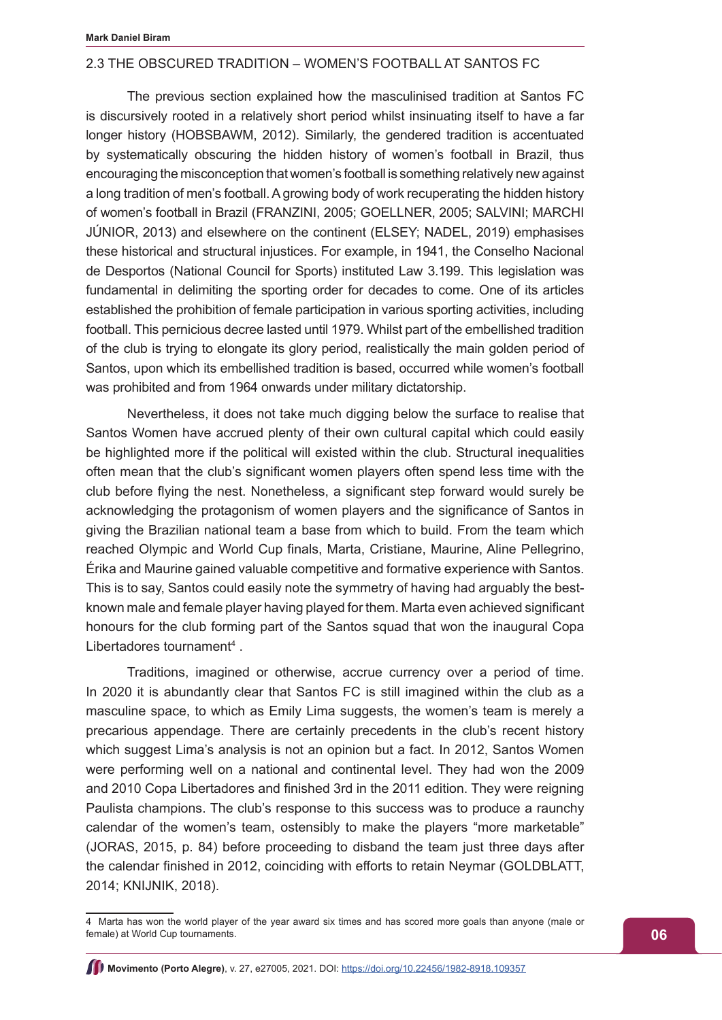# 2.3 THE OBSCURED TRADITION – WOMEN'S FOOTBALL AT SANTOS FC

The previous section explained how the masculinised tradition at Santos FC is discursively rooted in a relatively short period whilst insinuating itself to have a far longer history (HOBSBAWM, 2012). Similarly, the gendered tradition is accentuated by systematically obscuring the hidden history of women's football in Brazil, thus encouraging the misconception that women's football is something relatively new against a long tradition of men's football. A growing body of work recuperating the hidden history of women's football in Brazil (FRANZINI, 2005; GOELLNER, 2005; SALVINI; MARCHI JÚNIOR, 2013) and elsewhere on the continent (ELSEY; NADEL, 2019) emphasises these historical and structural injustices. For example, in 1941, the Conselho Nacional de Desportos (National Council for Sports) instituted Law 3.199. This legislation was fundamental in delimiting the sporting order for decades to come. One of its articles established the prohibition of female participation in various sporting activities, including football. This pernicious decree lasted until 1979. Whilst part of the embellished tradition of the club is trying to elongate its glory period, realistically the main golden period of Santos, upon which its embellished tradition is based, occurred while women's football was prohibited and from 1964 onwards under military dictatorship.

Nevertheless, it does not take much digging below the surface to realise that Santos Women have accrued plenty of their own cultural capital which could easily be highlighted more if the political will existed within the club. Structural inequalities often mean that the club's significant women players often spend less time with the club before flying the nest. Nonetheless, a significant step forward would surely be acknowledging the protagonism of women players and the significance of Santos in giving the Brazilian national team a base from which to build. From the team which reached Olympic and World Cup finals, Marta, Cristiane, Maurine, Aline Pellegrino, Érika and Maurine gained valuable competitive and formative experience with Santos. This is to say, Santos could easily note the symmetry of having had arguably the bestknown male and female player having played for them. Marta even achieved significant honours for the club forming part of the Santos squad that won the inaugural Copa Libertadores tournament<sup>4</sup>.

Traditions, imagined or otherwise, accrue currency over a period of time. In 2020 it is abundantly clear that Santos FC is still imagined within the club as a masculine space, to which as Emily Lima suggests, the women's team is merely a precarious appendage. There are certainly precedents in the club's recent history which suggest Lima's analysis is not an opinion but a fact. In 2012, Santos Women were performing well on a national and continental level. They had won the 2009 and 2010 Copa Libertadores and finished 3rd in the 2011 edition. They were reigning Paulista champions. The club's response to this success was to produce a raunchy calendar of the women's team, ostensibly to make the players "more marketable" (JORAS, 2015, p. 84) before proceeding to disband the team just three days after the calendar finished in 2012, coinciding with efforts to retain Neymar (GOLDBLATT, 2014; KNIJNIK, 2018).

<sup>4</sup> Marta has won the world player of the year award six times and has scored more goals than anyone (male or female) at World Cup tournaments.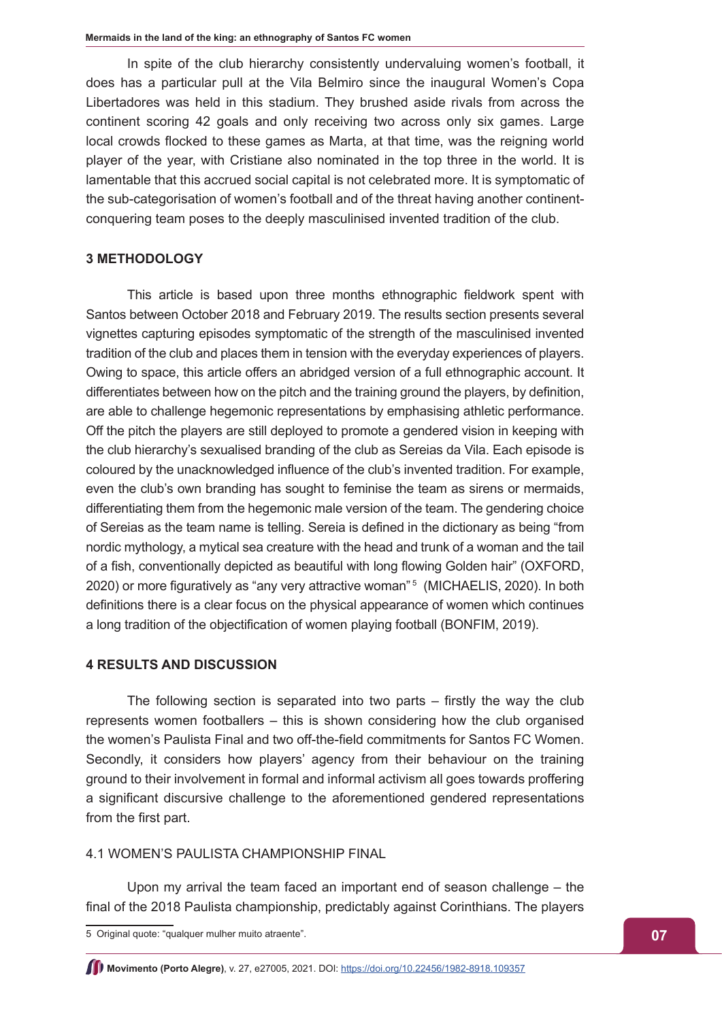In spite of the club hierarchy consistently undervaluing women's football, it does has a particular pull at the Vila Belmiro since the inaugural Women's Copa Libertadores was held in this stadium. They brushed aside rivals from across the continent scoring 42 goals and only receiving two across only six games. Large local crowds flocked to these games as Marta, at that time, was the reigning world player of the year, with Cristiane also nominated in the top three in the world. It is lamentable that this accrued social capital is not celebrated more. It is symptomatic of the sub-categorisation of women's football and of the threat having another continentconquering team poses to the deeply masculinised invented tradition of the club.

# **3 METHODOLOGY**

This article is based upon three months ethnographic fieldwork spent with Santos between October 2018 and February 2019. The results section presents several vignettes capturing episodes symptomatic of the strength of the masculinised invented tradition of the club and places them in tension with the everyday experiences of players. Owing to space, this article offers an abridged version of a full ethnographic account. It differentiates between how on the pitch and the training ground the players, by definition, are able to challenge hegemonic representations by emphasising athletic performance. Off the pitch the players are still deployed to promote a gendered vision in keeping with the club hierarchy's sexualised branding of the club as Sereias da Vila. Each episode is coloured by the unacknowledged influence of the club's invented tradition. For example, even the club's own branding has sought to feminise the team as sirens or mermaids, differentiating them from the hegemonic male version of the team. The gendering choice of Sereias as the team name is telling. Sereia is defined in the dictionary as being "from nordic mythology, a mytical sea creature with the head and trunk of a woman and the tail of a fish, conventionally depicted as beautiful with long flowing Golden hair" (OXFORD, 2020) or more figuratively as "any very attractive woman"<sup>5</sup> (MICHAELIS, 2020). In both definitions there is a clear focus on the physical appearance of women which continues a long tradition of the objectification of women playing football (BONFIM, 2019).

#### **4 RESULTS AND DISCUSSION**

The following section is separated into two parts – firstly the way the club represents women footballers – this is shown considering how the club organised the women's Paulista Final and two off-the-field commitments for Santos FC Women. Secondly, it considers how players' agency from their behaviour on the training ground to their involvement in formal and informal activism all goes towards proffering a significant discursive challenge to the aforementioned gendered representations from the first part.

4.1 WOMEN'S PAULISTA CHAMPIONSHIP FINAL

Upon my arrival the team faced an important end of season challenge – the final of the 2018 Paulista championship, predictably against Corinthians. The players

<sup>5</sup> Original quote: "qualquer mulher muito atraente".

**Movimento (Porto Alegre)**, v. 27, e27005, 2021. DOI:<https://doi.org/10.22456/1982-8918.109357>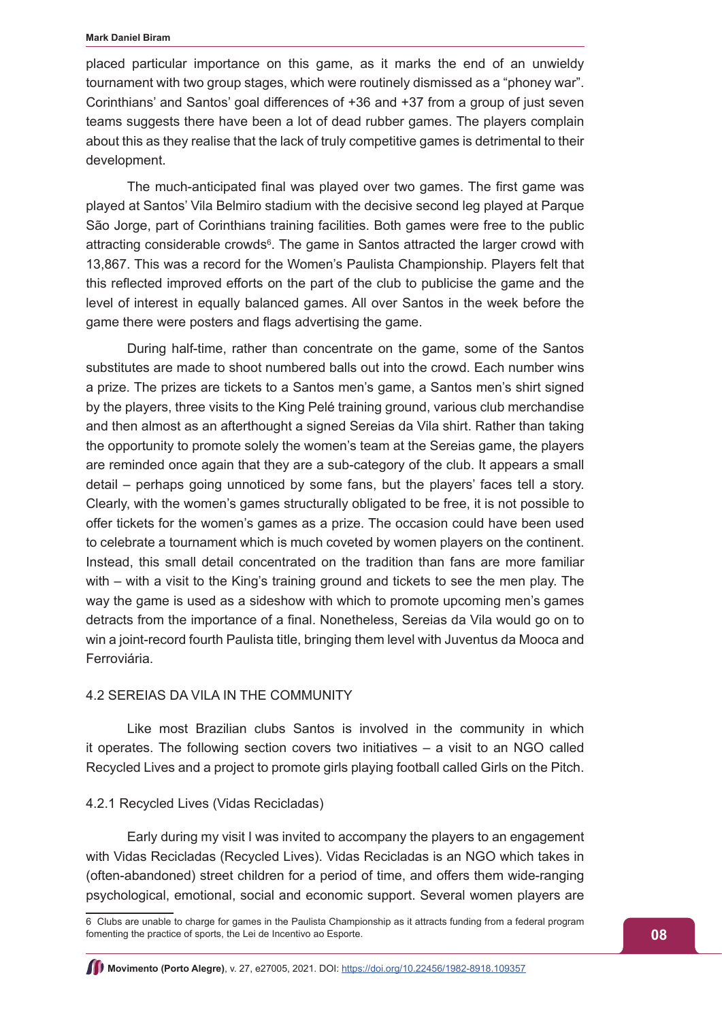#### **Mark Daniel Biram**

placed particular importance on this game, as it marks the end of an unwieldy tournament with two group stages, which were routinely dismissed as a "phoney war". Corinthians' and Santos' goal differences of +36 and +37 from a group of just seven teams suggests there have been a lot of dead rubber games. The players complain about this as they realise that the lack of truly competitive games is detrimental to their development.

The much-anticipated final was played over two games. The first game was played at Santos' Vila Belmiro stadium with the decisive second leg played at Parque São Jorge, part of Corinthians training facilities. Both games were free to the public attracting considerable crowds<sup>6</sup>. The game in Santos attracted the larger crowd with 13,867. This was a record for the Women's Paulista Championship. Players felt that this reflected improved efforts on the part of the club to publicise the game and the level of interest in equally balanced games. All over Santos in the week before the game there were posters and flags advertising the game.

During half-time, rather than concentrate on the game, some of the Santos substitutes are made to shoot numbered balls out into the crowd. Each number wins a prize. The prizes are tickets to a Santos men's game, a Santos men's shirt signed by the players, three visits to the King Pelé training ground, various club merchandise and then almost as an afterthought a signed Sereias da Vila shirt. Rather than taking the opportunity to promote solely the women's team at the Sereias game, the players are reminded once again that they are a sub-category of the club. It appears a small detail – perhaps going unnoticed by some fans, but the players' faces tell a story. Clearly, with the women's games structurally obligated to be free, it is not possible to offer tickets for the women's games as a prize. The occasion could have been used to celebrate a tournament which is much coveted by women players on the continent. Instead, this small detail concentrated on the tradition than fans are more familiar with – with a visit to the King's training ground and tickets to see the men play. The way the game is used as a sideshow with which to promote upcoming men's games detracts from the importance of a final. Nonetheless, Sereias da Vila would go on to win a joint-record fourth Paulista title, bringing them level with Juventus da Mooca and Ferroviária.

# 4.2 SEREIAS DA VILA IN THE COMMUNITY

Like most Brazilian clubs Santos is involved in the community in which it operates. The following section covers two initiatives – a visit to an NGO called Recycled Lives and a project to promote girls playing football called Girls on the Pitch.

#### 4.2.1 Recycled Lives (Vidas Recicladas)

Early during my visit I was invited to accompany the players to an engagement with Vidas Recicladas (Recycled Lives). Vidas Recicladas is an NGO which takes in (often-abandoned) street children for a period of time, and offers them wide-ranging psychological, emotional, social and economic support. Several women players are

<sup>6</sup> Clubs are unable to charge for games in the Paulista Championship as it attracts funding from a federal program fomenting the practice of sports, the Lei de Incentivo ao Esporte.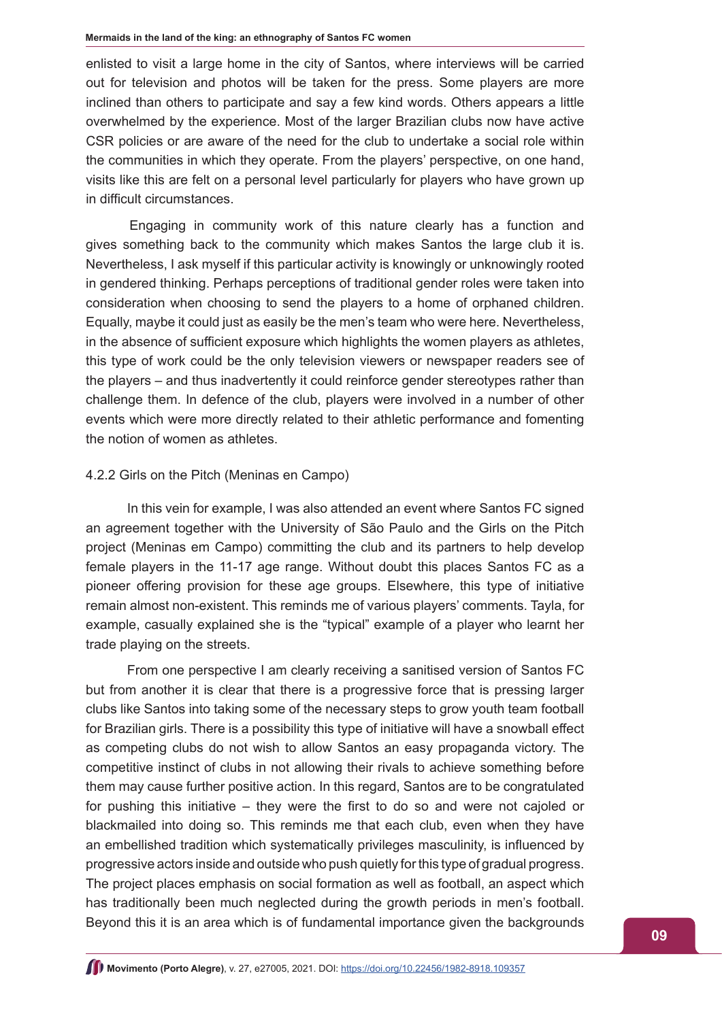enlisted to visit a large home in the city of Santos, where interviews will be carried out for television and photos will be taken for the press. Some players are more inclined than others to participate and say a few kind words. Others appears a little overwhelmed by the experience. Most of the larger Brazilian clubs now have active CSR policies or are aware of the need for the club to undertake a social role within the communities in which they operate. From the players' perspective, on one hand, visits like this are felt on a personal level particularly for players who have grown up in difficult circumstances.

Engaging in community work of this nature clearly has a function and gives something back to the community which makes Santos the large club it is. Nevertheless, I ask myself if this particular activity is knowingly or unknowingly rooted in gendered thinking. Perhaps perceptions of traditional gender roles were taken into consideration when choosing to send the players to a home of orphaned children. Equally, maybe it could just as easily be the men's team who were here. Nevertheless, in the absence of sufficient exposure which highlights the women players as athletes, this type of work could be the only television viewers or newspaper readers see of the players – and thus inadvertently it could reinforce gender stereotypes rather than challenge them. In defence of the club, players were involved in a number of other events which were more directly related to their athletic performance and fomenting the notion of women as athletes.

# 4.2.2 Girls on the Pitch (Meninas en Campo)

In this vein for example, I was also attended an event where Santos FC signed an agreement together with the University of São Paulo and the Girls on the Pitch project (Meninas em Campo) committing the club and its partners to help develop female players in the 11-17 age range. Without doubt this places Santos FC as a pioneer offering provision for these age groups. Elsewhere, this type of initiative remain almost non-existent. This reminds me of various players' comments. Tayla, for example, casually explained she is the "typical" example of a player who learnt her trade playing on the streets.

From one perspective I am clearly receiving a sanitised version of Santos FC but from another it is clear that there is a progressive force that is pressing larger clubs like Santos into taking some of the necessary steps to grow youth team football for Brazilian girls. There is a possibility this type of initiative will have a snowball effect as competing clubs do not wish to allow Santos an easy propaganda victory. The competitive instinct of clubs in not allowing their rivals to achieve something before them may cause further positive action. In this regard, Santos are to be congratulated for pushing this initiative – they were the first to do so and were not cajoled or blackmailed into doing so. This reminds me that each club, even when they have an embellished tradition which systematically privileges masculinity, is influenced by progressive actors inside and outside who push quietly for this type of gradual progress. The project places emphasis on social formation as well as football, an aspect which has traditionally been much neglected during the growth periods in men's football. Beyond this it is an area which is of fundamental importance given the backgrounds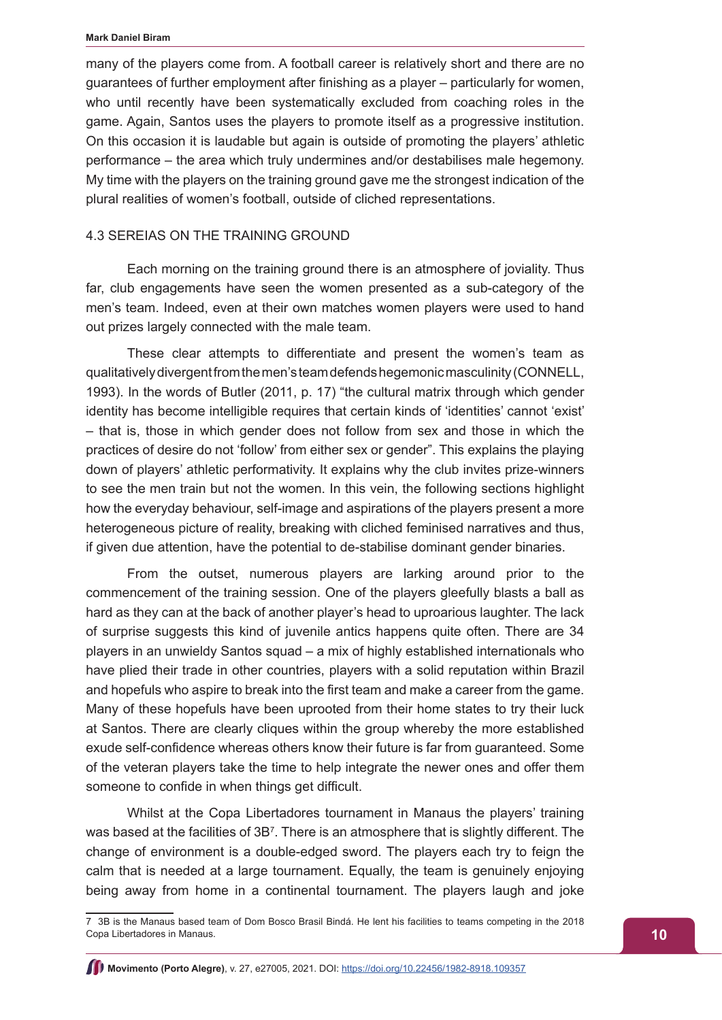many of the players come from. A football career is relatively short and there are no guarantees of further employment after finishing as a player – particularly for women, who until recently have been systematically excluded from coaching roles in the game. Again, Santos uses the players to promote itself as a progressive institution. On this occasion it is laudable but again is outside of promoting the players' athletic performance – the area which truly undermines and/or destabilises male hegemony. My time with the players on the training ground gave me the strongest indication of the plural realities of women's football, outside of cliched representations.

# 4.3 SEREIAS ON THE TRAINING GROUND

Each morning on the training ground there is an atmosphere of joviality. Thus far, club engagements have seen the women presented as a sub-category of the men's team. Indeed, even at their own matches women players were used to hand out prizes largely connected with the male team.

These clear attempts to differentiate and present the women's team as qualitatively divergent from the men's team defends hegemonic masculinity (CONNELL, 1993). In the words of Butler (2011, p. 17) "the cultural matrix through which gender identity has become intelligible requires that certain kinds of 'identities' cannot 'exist' – that is, those in which gender does not follow from sex and those in which the practices of desire do not 'follow' from either sex or gender". This explains the playing down of players' athletic performativity. It explains why the club invites prize-winners to see the men train but not the women. In this vein, the following sections highlight how the everyday behaviour, self-image and aspirations of the players present a more heterogeneous picture of reality, breaking with cliched feminised narratives and thus, if given due attention, have the potential to de-stabilise dominant gender binaries.

From the outset, numerous players are larking around prior to the commencement of the training session. One of the players gleefully blasts a ball as hard as they can at the back of another player's head to uproarious laughter. The lack of surprise suggests this kind of juvenile antics happens quite often. There are 34 players in an unwieldy Santos squad – a mix of highly established internationals who have plied their trade in other countries, players with a solid reputation within Brazil and hopefuls who aspire to break into the first team and make a career from the game. Many of these hopefuls have been uprooted from their home states to try their luck at Santos. There are clearly cliques within the group whereby the more established exude self-confidence whereas others know their future is far from guaranteed. Some of the veteran players take the time to help integrate the newer ones and offer them someone to confide in when things get difficult.

Whilst at the Copa Libertadores tournament in Manaus the players' training was based at the facilities of 3B<sup>7</sup>. There is an atmosphere that is slightly different. The change of environment is a double-edged sword. The players each try to feign the calm that is needed at a large tournament. Equally, the team is genuinely enjoying being away from home in a continental tournament. The players laugh and joke

<sup>7 3</sup>B is the Manaus based team of Dom Bosco Brasil Bindá. He lent his facilities to teams competing in the 2018 Copa Libertadores in Manaus.

**Movimento (Porto Alegre)**, v. 27, e27005, 2021. DOI: <https://doi.org/10.22456/1982-8918.109357>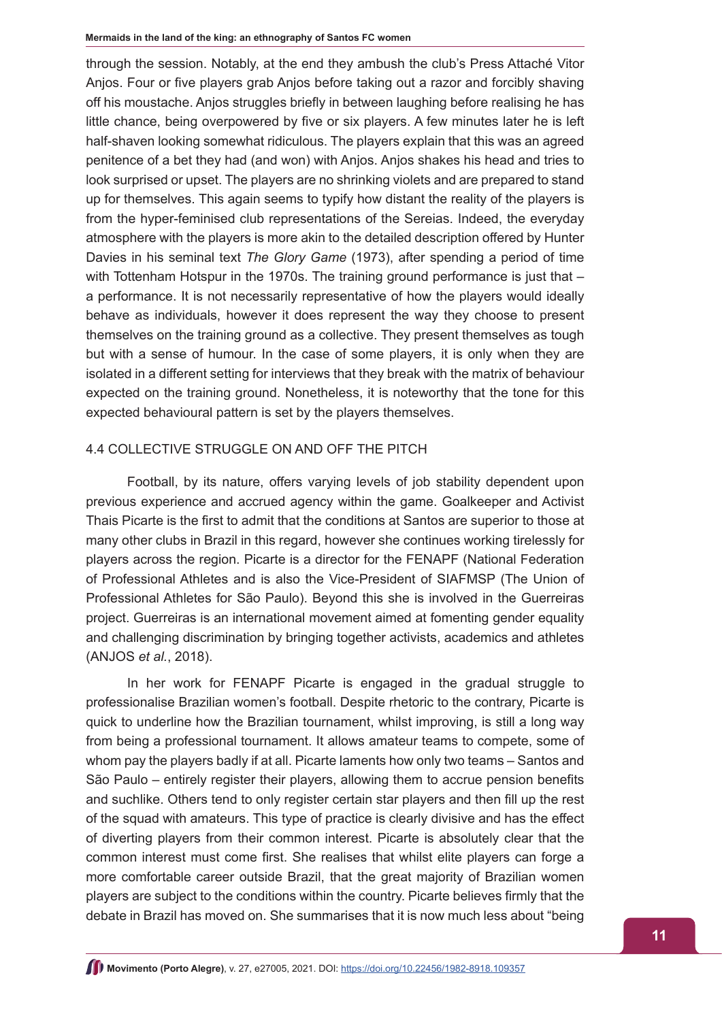through the session. Notably, at the end they ambush the club's Press Attaché Vitor Anjos. Four or five players grab Anjos before taking out a razor and forcibly shaving off his moustache. Anjos struggles briefly in between laughing before realising he has little chance, being overpowered by five or six players. A few minutes later he is left half-shaven looking somewhat ridiculous. The players explain that this was an agreed penitence of a bet they had (and won) with Anjos. Anjos shakes his head and tries to look surprised or upset. The players are no shrinking violets and are prepared to stand up for themselves. This again seems to typify how distant the reality of the players is from the hyper-feminised club representations of the Sereias. Indeed, the everyday atmosphere with the players is more akin to the detailed description offered by Hunter Davies in his seminal text *The Glory Game* (1973), after spending a period of time with Tottenham Hotspur in the 1970s. The training ground performance is just that – a performance. It is not necessarily representative of how the players would ideally behave as individuals, however it does represent the way they choose to present themselves on the training ground as a collective. They present themselves as tough but with a sense of humour. In the case of some players, it is only when they are isolated in a different setting for interviews that they break with the matrix of behaviour expected on the training ground. Nonetheless, it is noteworthy that the tone for this expected behavioural pattern is set by the players themselves.

# 4.4 COLLECTIVE STRUGGLE ON AND OFF THE PITCH

Football, by its nature, offers varying levels of job stability dependent upon previous experience and accrued agency within the game. Goalkeeper and Activist Thais Picarte is the first to admit that the conditions at Santos are superior to those at many other clubs in Brazil in this regard, however she continues working tirelessly for players across the region. Picarte is a director for the FENAPF (National Federation of Professional Athletes and is also the Vice-President of SIAFMSP (The Union of Professional Athletes for São Paulo). Beyond this she is involved in the Guerreiras project. Guerreiras is an international movement aimed at fomenting gender equality and challenging discrimination by bringing together activists, academics and athletes (ANJOS *et al.*, 2018).

In her work for FENAPF Picarte is engaged in the gradual struggle to professionalise Brazilian women's football. Despite rhetoric to the contrary, Picarte is quick to underline how the Brazilian tournament, whilst improving, is still a long way from being a professional tournament. It allows amateur teams to compete, some of whom pay the players badly if at all. Picarte laments how only two teams – Santos and São Paulo – entirely register their players, allowing them to accrue pension benefits and suchlike. Others tend to only register certain star players and then fill up the rest of the squad with amateurs. This type of practice is clearly divisive and has the effect of diverting players from their common interest. Picarte is absolutely clear that the common interest must come first. She realises that whilst elite players can forge a more comfortable career outside Brazil, that the great majority of Brazilian women players are subject to the conditions within the country. Picarte believes firmly that the debate in Brazil has moved on. She summarises that it is now much less about "being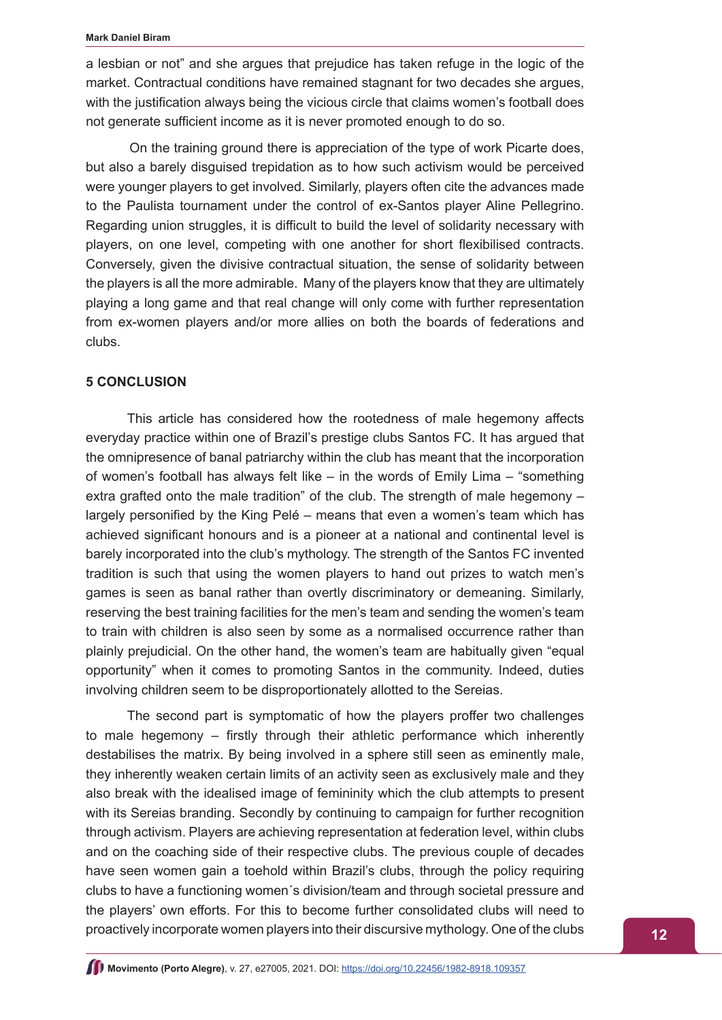a lesbian or not" and she argues that prejudice has taken refuge in the logic of the market. Contractual conditions have remained stagnant for two decades she argues, with the justification always being the vicious circle that claims women's football does not generate sufficient income as it is never promoted enough to do so.

On the training ground there is appreciation of the type of work Picarte does, but also a barely disguised trepidation as to how such activism would be perceived were younger players to get involved. Similarly, players often cite the advances made to the Paulista tournament under the control of ex-Santos player Aline Pellegrino. Regarding union struggles, it is difficult to build the level of solidarity necessary with players, on one level, competing with one another for short flexibilised contracts. Conversely, given the divisive contractual situation, the sense of solidarity between the players is all the more admirable. Many of the players know that they are ultimately playing a long game and that real change will only come with further representation from ex-women players and/or more allies on both the boards of federations and clubs.

#### **5 CONCLUSION**

This article has considered how the rootedness of male hegemony affects everyday practice within one of Brazil's prestige clubs Santos FC. It has argued that the omnipresence of banal patriarchy within the club has meant that the incorporation of women's football has always felt like – in the words of Emily Lima – "something extra grafted onto the male tradition" of the club. The strength of male hegemony – largely personified by the King Pelé – means that even a women's team which has achieved significant honours and is a pioneer at a national and continental level is barely incorporated into the club's mythology. The strength of the Santos FC invented tradition is such that using the women players to hand out prizes to watch men's games is seen as banal rather than overtly discriminatory or demeaning. Similarly, reserving the best training facilities for the men's team and sending the women's team to train with children is also seen by some as a normalised occurrence rather than plainly prejudicial. On the other hand, the women's team are habitually given "equal opportunity" when it comes to promoting Santos in the community. Indeed, duties involving children seem to be disproportionately allotted to the Sereias.

The second part is symptomatic of how the players proffer two challenges to male hegemony – firstly through their athletic performance which inherently destabilises the matrix. By being involved in a sphere still seen as eminently male, they inherently weaken certain limits of an activity seen as exclusively male and they also break with the idealised image of femininity which the club attempts to present with its Sereias branding. Secondly by continuing to campaign for further recognition through activism. Players are achieving representation at federation level, within clubs and on the coaching side of their respective clubs. The previous couple of decades have seen women gain a toehold within Brazil's clubs, through the policy requiring clubs to have a functioning women´s division/team and through societal pressure and the players' own efforts. For this to become further consolidated clubs will need to proactively incorporate women players into their discursive mythology. One of the clubs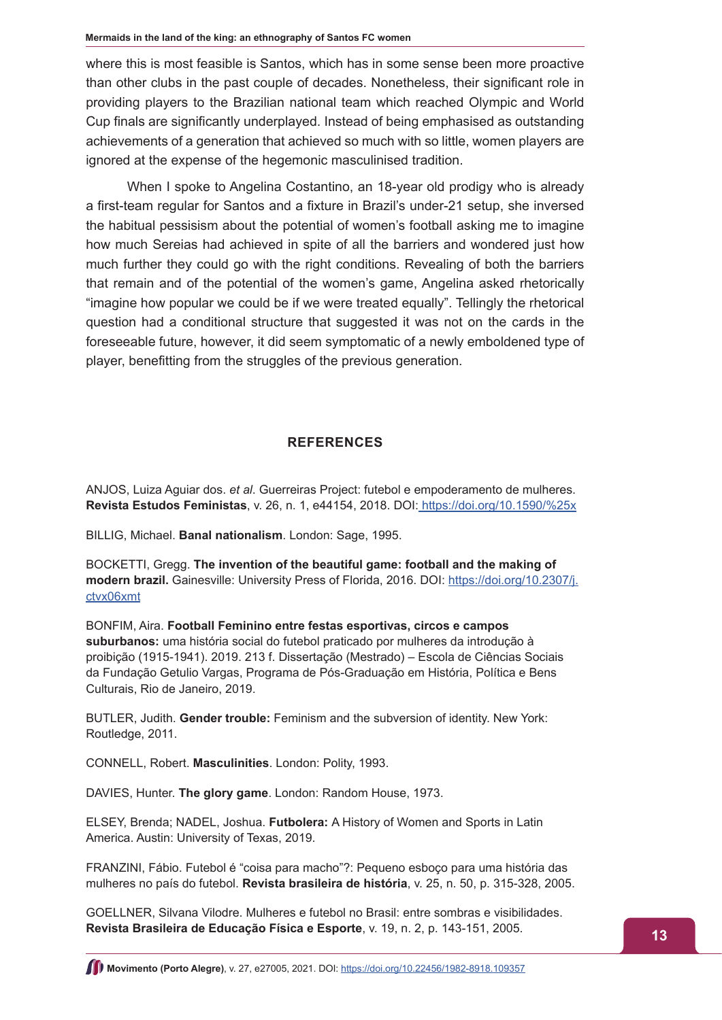where this is most feasible is Santos, which has in some sense been more proactive than other clubs in the past couple of decades. Nonetheless, their significant role in providing players to the Brazilian national team which reached Olympic and World Cup finals are significantly underplayed. Instead of being emphasised as outstanding achievements of a generation that achieved so much with so little, women players are ignored at the expense of the hegemonic masculinised tradition.

When I spoke to Angelina Costantino, an 18-year old prodigy who is already a first-team regular for Santos and a fixture in Brazil's under-21 setup, she inversed the habitual pessisism about the potential of women's football asking me to imagine how much Sereias had achieved in spite of all the barriers and wondered just how much further they could go with the right conditions. Revealing of both the barriers that remain and of the potential of the women's game, Angelina asked rhetorically "imagine how popular we could be if we were treated equally". Tellingly the rhetorical question had a conditional structure that suggested it was not on the cards in the foreseeable future, however, it did seem symptomatic of a newly emboldened type of player, benefitting from the struggles of the previous generation.

# **REFERENCES**

ANJOS, Luiza Aguiar dos. *et al*. Guerreiras Project: futebol e empoderamento de mulheres. **Revista Estudos Feministas**, v. 26, n. 1, e44154, 2018. DOI: <https://doi.org/10.1590/%25x>

BILLIG, Michael. **Banal nationalism**. London: Sage, 1995.

BOCKETTI, Gregg. **The invention of the beautiful game: football and the making of modern brazil.** Gainesville: University Press of Florida, 2016. DOI: [https://doi.org/10.2307/j.](https://doi.org/10.2307/j.ctvx06xmt) [ctvx06xmt](https://doi.org/10.2307/j.ctvx06xmt)

BONFIM, Aira. **Football Feminino entre festas esportivas, circos e campos suburbanos:** uma história social do futebol praticado por mulheres da introdução à proibição (1915-1941). 2019. 213 f. Dissertação (Mestrado) – Escola de Ciências Sociais da Fundação Getulio Vargas, Programa de Pós-Graduação em História, Política e Bens Culturais, Rio de Janeiro, 2019.

BUTLER, Judith. **Gender trouble:** Feminism and the subversion of identity. New York: Routledge, 2011.

CONNELL, Robert. **Masculinities**. London: Polity, 1993.

DAVIES, Hunter. **The glory game**. London: Random House, 1973.

ELSEY, Brenda; NADEL, Joshua. **Futbolera:** A History of Women and Sports in Latin America. Austin: University of Texas, 2019.

FRANZINI, Fábio. Futebol é "coisa para macho"?: Pequeno esboço para uma história das mulheres no país do futebol. **Revista brasileira de história**, v. 25, n. 50, p. 315-328, 2005.

GOELLNER, Silvana Vilodre. Mulheres e futebol no Brasil: entre sombras e visibilidades. **Revista Brasileira de Educação Física e Esporte**, v. 19, n. 2, p. 143-151, 2005.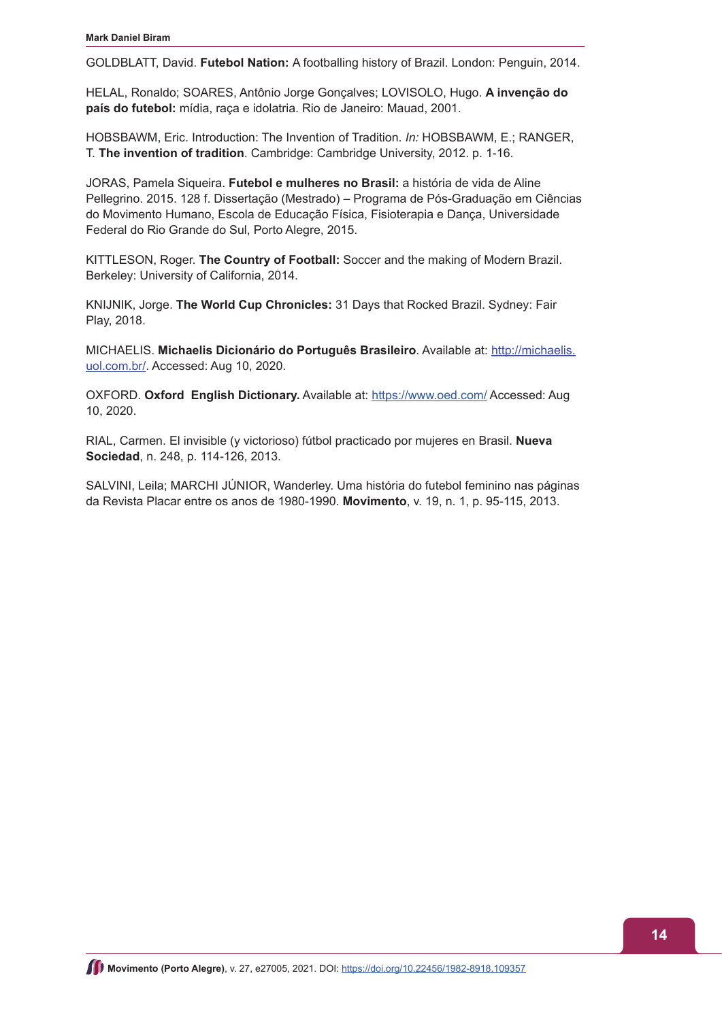GOLDBLATT, David. **Futebol Nation:** A footballing history of Brazil. London: Penguin, 2014.

HELAL, Ronaldo; SOARES, Antônio Jorge Gonçalves; LOVISOLO, Hugo. **A invenção do país do futebol:** mídia, raça e idolatria. Rio de Janeiro: Mauad, 2001.

HOBSBAWM, Eric. Introduction: The Invention of Tradition. *In:* HOBSBAWM, E.; RANGER, T. **The invention of tradition**. Cambridge: Cambridge University, 2012. p. 1-16.

JORAS, Pamela Siqueira. **Futebol e mulheres no Brasil:** a história de vida de Aline Pellegrino. 2015. 128 f. Dissertação (Mestrado) – Programa de Pós-Graduação em Ciências do Movimento Humano, Escola de Educação Física, Fisioterapia e Dança, Universidade Federal do Rio Grande do Sul, Porto Alegre, 2015.

KITTLESON, Roger. **The Country of Football:** Soccer and the making of Modern Brazil. Berkeley: University of California, 2014.

KNIJNIK, Jorge. **The World Cup Chronicles:** 31 Days that Rocked Brazil. Sydney: Fair Play, 2018.

MICHAELIS. **Michaelis Dicionário do Português Brasileiro**. Available at: [http://michaelis.](http://michaelis.uol.com.br/) [uol.com.br/](http://michaelis.uol.com.br/). Accessed: Aug 10, 2020.

OXFORD. **Oxford English Dictionary.** Available at: <https://www.oed.com/>Accessed: Aug 10, 2020.

RIAL, Carmen. El invisible (y victorioso) fútbol practicado por mujeres en Brasil. **Nueva Sociedad**, n. 248, p. 114-126, 2013.

SALVINI, Leila; MARCHI JÚNIOR, Wanderley. Uma história do futebol feminino nas páginas da Revista Placar entre os anos de 1980-1990. **Movimento**, v. 19, n. 1, p. 95-115, 2013.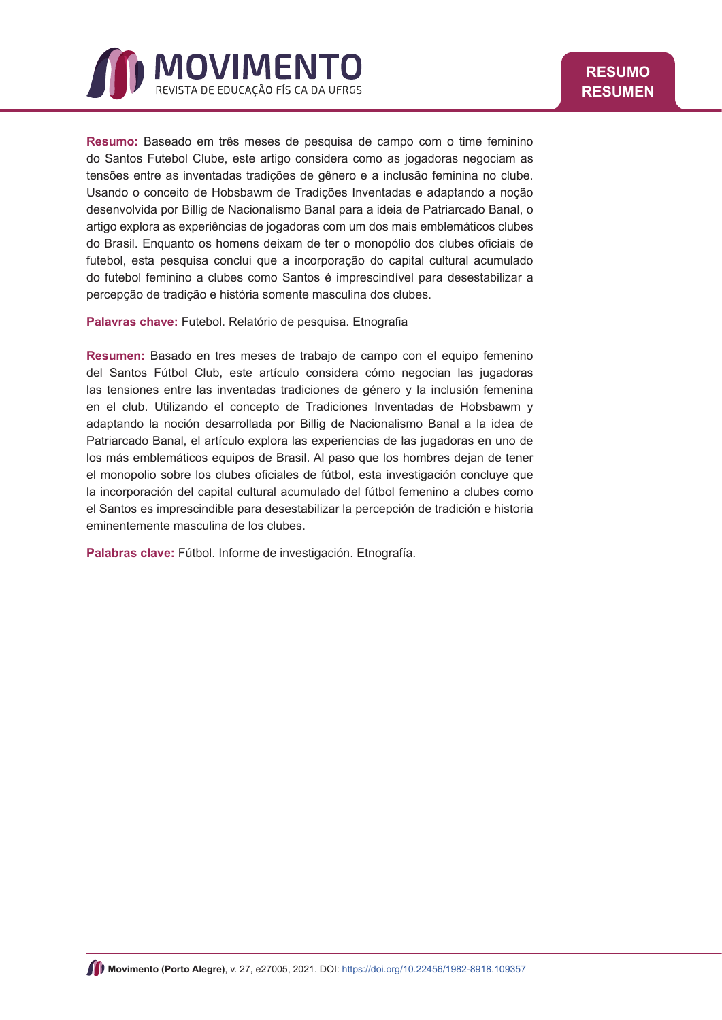<span id="page-14-0"></span>

**Resumo:** Baseado em três meses de pesquisa de campo com o time feminino do Santos Futebol Clube, este artigo considera como as jogadoras negociam as tensões entre as inventadas tradições de gênero e a inclusão feminina no clube. Usando o conceito de Hobsbawm de Tradições Inventadas e adaptando a noção desenvolvida por Billig de Nacionalismo Banal para a ideia de Patriarcado Banal, o artigo explora as experiências de jogadoras com um dos mais emblemáticos clubes do Brasil. Enquanto os homens deixam de ter o monopólio dos clubes oficiais de futebol, esta pesquisa conclui que a incorporação do capital cultural acumulado do futebol feminino a clubes como Santos é imprescindível para desestabilizar a percepção de tradição e história somente masculina dos clubes.

**Palavras chave:** Futebol. Relatório de pesquisa. Etnografia

**Resumen:** Basado en tres meses de trabajo de campo con el equipo femenino del Santos Fútbol Club, este artículo considera cómo negocian las jugadoras las tensiones entre las inventadas tradiciones de género y la inclusión femenina en el club. Utilizando el concepto de Tradiciones Inventadas de Hobsbawm y adaptando la noción desarrollada por Billig de Nacionalismo Banal a la idea de Patriarcado Banal, el artículo explora las experiencias de las jugadoras en uno de los más emblemáticos equipos de Brasil. Al paso que los hombres dejan de tener el monopolio sobre los clubes oficiales de fútbol, esta investigación concluye que la incorporación del capital cultural acumulado del fútbol femenino a clubes como el Santos es imprescindible para desestabilizar la percepción de tradición e historia eminentemente masculina de los clubes.

**Palabras clave:** Fútbol. Informe de investigación. Etnografía.